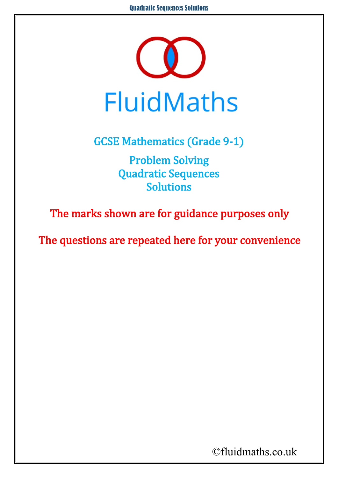

GCSE Mathematics (Grade 9-1) Problem Solving Quadratic Sequences Solutions

The marks shown are for guidance purposes only

The questions are repeated here for your convenience

©fluidmaths.co.uk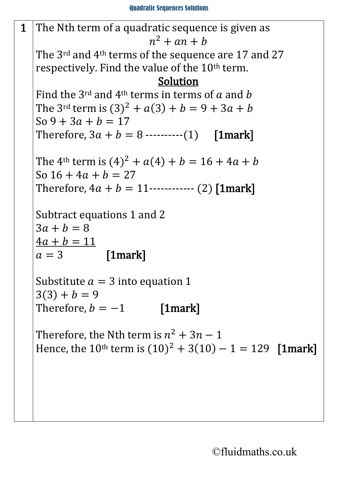

©fluidmaths.co.uk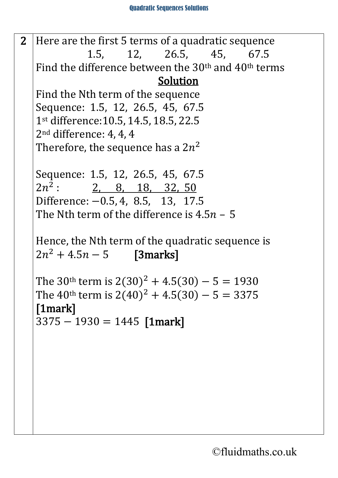2 Here are the first 5 terms of a quadratic sequence<br>1.5. 12. 26.5. 45. 67.5 1.5, 12, 26.5, 45, Find the difference between the 30th and 40th terms Solution Find the Nth term of the sequence Sequence: 1.5, 12, 26.5, 45, 67.5 1st difference:10.5, 14.5, 18.5, 22.5 2nd difference: 4, 4, 4 Therefore, the sequence has a  $2n^2$ Sequence: 1.5, 12, 26.5, 45, 67.5<br>2*n*<sup>2</sup>: 2, 8, 18, 32, 50 2, 8, 18, 32, 50 Difference: −0.5, 4, 8.5, 13, 17.5 The Nth term of the difference is  $4.5n - 5$ Hence, the Nth term of the quadratic sequence is  $2n^2 + 4.5n - 5$  [3marks] The 30<sup>th</sup> term is  $2(30)^2 + 4.5(30) - 5 = 1930$ The 40<sup>th</sup> term is  $2(40)^2 + 4.5(30) - 5 = 3375$ [1mark]  $3375 - 1930 = 1445$  [1mark]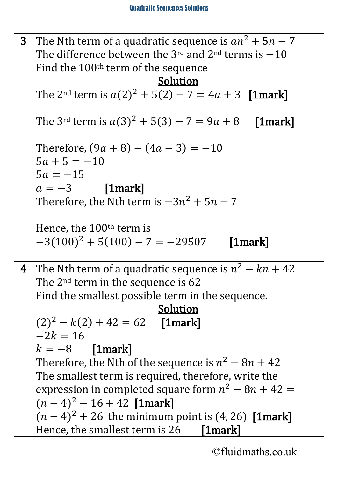| 3 <sup>1</sup> | The Nth term of a quadratic sequence is $an^2 + 5n - 7$                                         |
|----------------|-------------------------------------------------------------------------------------------------|
|                | The difference between the 3 <sup>rd</sup> and 2 <sup>nd</sup> terms is $-10$                   |
|                | Find the 100 <sup>th</sup> term of the sequence                                                 |
|                | Solution                                                                                        |
|                | The 2 <sup>nd</sup> term is $a(2)^2 + 5(2) - 7 = 4a + 3$ [1mark]                                |
|                | The 3 <sup>rd</sup> term is $a(3)^2 + 5(3) - 7 = 9a + 8$ [1mark]                                |
|                | Therefore, $(9a + 8) - (4a + 3) = -10$<br>$5a + 5 = -10$<br>$5a = -15$                          |
|                |                                                                                                 |
|                | $a = -3$ [1 mark]<br>Therefore, the Nth term is $-3n^2 + 5n - 7$                                |
|                | Hence, the $100th$ term is<br>$-3(100)^2 + 5(100) - 7 = -29507$                                 |
|                |                                                                                                 |
|                | $[1$ mark $]$                                                                                   |
|                |                                                                                                 |
| $\overline{4}$ | The Nth term of a quadratic sequence is $n^2 - kn + 42$                                         |
|                | The 2 <sup>nd</sup> term in the sequence is 62                                                  |
|                | Find the smallest possible term in the sequence.                                                |
|                | Solution                                                                                        |
|                | $(2)^{2} - k(2) + 42 = 62$ [1mark]<br>$-2k = 16$                                                |
|                | $k = -8$ [1mark]                                                                                |
|                | Therefore, the Nth of the sequence is $n^2 - 8n + 42$                                           |
|                | The smallest term is required, therefore, write the                                             |
|                | expression in completed square form $n^2 - 8n + 42 =$                                           |
|                | $(n-4)^2 - 16 + 42$ [1mark]                                                                     |
|                | $(n - 4)^2 + 26$ the minimum point is (4, 26) [1mark]<br>Hence, the smallest term is 26 [1mark] |